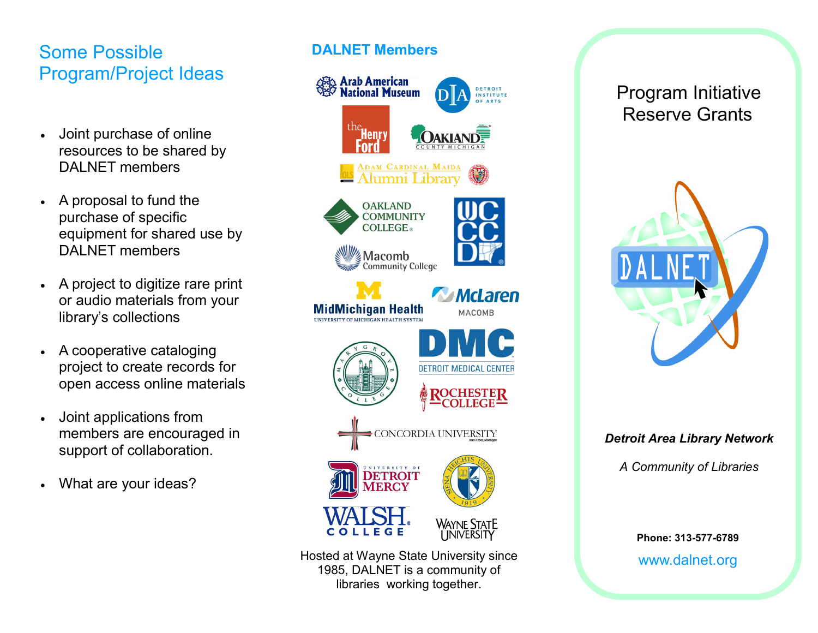# Some Possible Program/Project Ideas

- Joint purchase of online resources to be shared by DAI NFT members
- A proposal to fund the purchase of specific equipment for shared use by DALNET members
- A project to digitize rare print or audio materials from your library's collections
- A cooperative cataloging project to create records for open access online materials
- Joint applications from members are encouraged in support of collaboration.
- What are your ideas?

### **DALNET Members**



Hosted at Wayne State University since 1985, DALNET is a community of libraries working together.

## Program Initiative Reserve Grants



### *Detroit Area Library Network*

*A Community of Libraries*

**Phone: 313-577-6789** www.dalnet.org